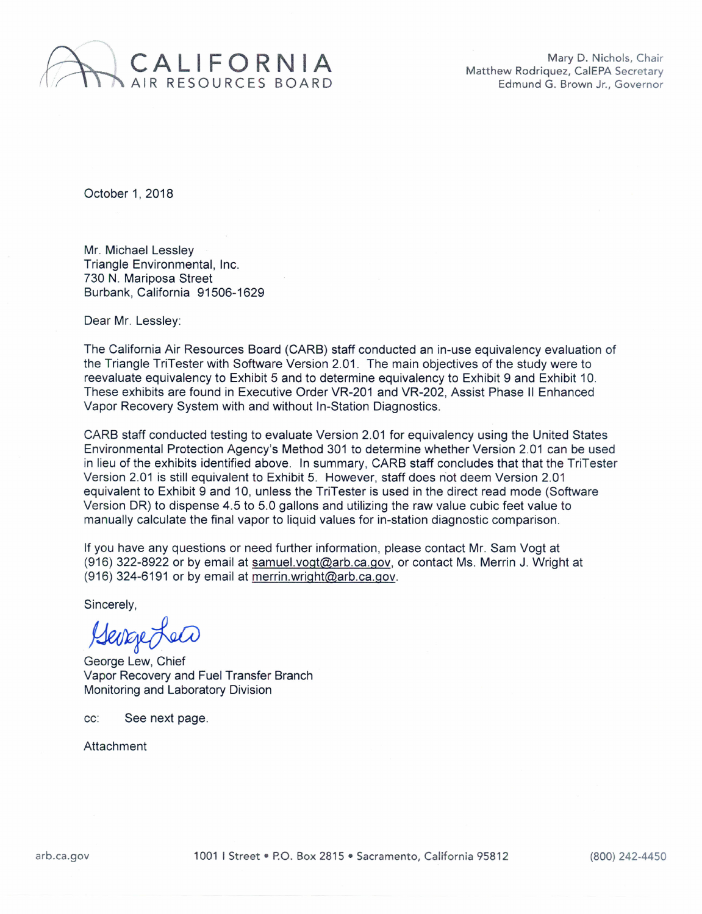

Mary D. Nichols, Chair Matthew Rodriquez, CalEPA Secretary Edmund G. Brown Jr., Governor

October 1, 2018

Mr. Michael Lessley Triangle Environmental, Inc. 730 N. Mariposa Street Burbank, California 91506-1629

Dear Mr. Lessley:

The California Air Resources Board (CARB) staff conducted an in-use equivalency evaluation of the Triangle TriTester with Software Version 2.01. The main objectives of the study were to reevaluate equivalency to Exhibit 5 and to determine equivalency to Exhibit 9 and Exhibit 10. These exhibits are found in Executive Order VR-201 and VR-202, Assist Phase II Enhanced Vapor Recovery System with and without In-Station Diagnostics.

CARB staff conducted testing to evaluate Version 2.01 for equivalency using the United States Environmental Protection Agency's Method 301 to determine whether Version 2.01 can be used in lieu of the exhibits identified above. In summary, CARB staff concludes that that the TriTester Version 2.01 is still equivalent to Exhibit 5. However, staff does not deem Version 2.01 equivalent to Exhibit 9 and 10, unless the TriTester is used in the direct read mode (Software Version DR) to dispense 4.5 to 5.0 gallons and utilizing the raw value cubic feet value to manually calculate the final vapor to liquid values for in-station diagnostic comparison.

If you have any questions or need further information, please contact Mr. Sam Vogt at (916) 322-8922 or by email at samuel.vogt@arb.ca.gov, or contact Ms. Merrin J. Wright at (916) 324-6191 or by email at merrin.wright@arb.ca.gov.

Sincerely,

Serretea

George Lew, Chief Vapor Recovery and Fuel Transfer Branch Monitoring and Laboratory Division

cc: See next page.

**Attachment**